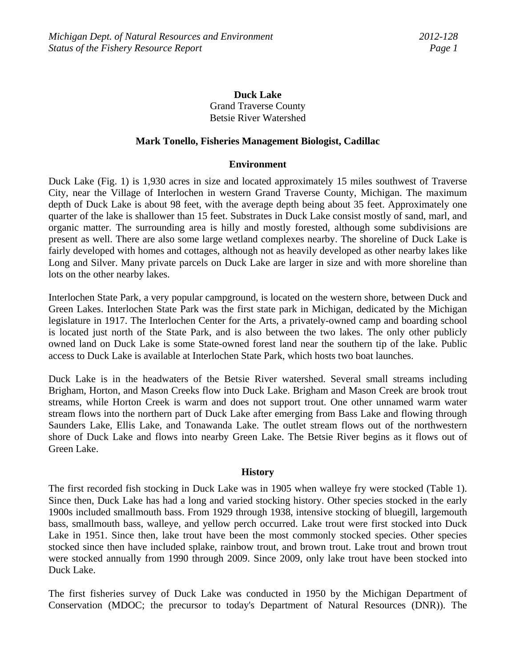# **Duck Lake**  Grand Traverse County Betsie River Watershed

#### **Mark Tonello, Fisheries Management Biologist, Cadillac**

#### **Environment**

Duck Lake (Fig. 1) is 1,930 acres in size and located approximately 15 miles southwest of Traverse City, near the Village of Interlochen in western Grand Traverse County, Michigan. The maximum depth of Duck Lake is about 98 feet, with the average depth being about 35 feet. Approximately one quarter of the lake is shallower than 15 feet. Substrates in Duck Lake consist mostly of sand, marl, and organic matter. The surrounding area is hilly and mostly forested, although some subdivisions are present as well. There are also some large wetland complexes nearby. The shoreline of Duck Lake is fairly developed with homes and cottages, although not as heavily developed as other nearby lakes like Long and Silver. Many private parcels on Duck Lake are larger in size and with more shoreline than lots on the other nearby lakes.

Interlochen State Park, a very popular campground, is located on the western shore, between Duck and Green Lakes. Interlochen State Park was the first state park in Michigan, dedicated by the Michigan legislature in 1917. The Interlochen Center for the Arts, a privately-owned camp and boarding school is located just north of the State Park, and is also between the two lakes. The only other publicly owned land on Duck Lake is some State-owned forest land near the southern tip of the lake. Public access to Duck Lake is available at Interlochen State Park, which hosts two boat launches.

Duck Lake is in the headwaters of the Betsie River watershed. Several small streams including Brigham, Horton, and Mason Creeks flow into Duck Lake. Brigham and Mason Creek are brook trout streams, while Horton Creek is warm and does not support trout. One other unnamed warm water stream flows into the northern part of Duck Lake after emerging from Bass Lake and flowing through Saunders Lake, Ellis Lake, and Tonawanda Lake. The outlet stream flows out of the northwestern shore of Duck Lake and flows into nearby Green Lake. The Betsie River begins as it flows out of Green Lake.

#### **History**

The first recorded fish stocking in Duck Lake was in 1905 when walleye fry were stocked (Table 1). Since then, Duck Lake has had a long and varied stocking history. Other species stocked in the early 1900s included smallmouth bass. From 1929 through 1938, intensive stocking of bluegill, largemouth bass, smallmouth bass, walleye, and yellow perch occurred. Lake trout were first stocked into Duck Lake in 1951. Since then, lake trout have been the most commonly stocked species. Other species stocked since then have included splake, rainbow trout, and brown trout. Lake trout and brown trout were stocked annually from 1990 through 2009. Since 2009, only lake trout have been stocked into Duck Lake.

The first fisheries survey of Duck Lake was conducted in 1950 by the Michigan Department of Conservation (MDOC; the precursor to today's Department of Natural Resources (DNR)). The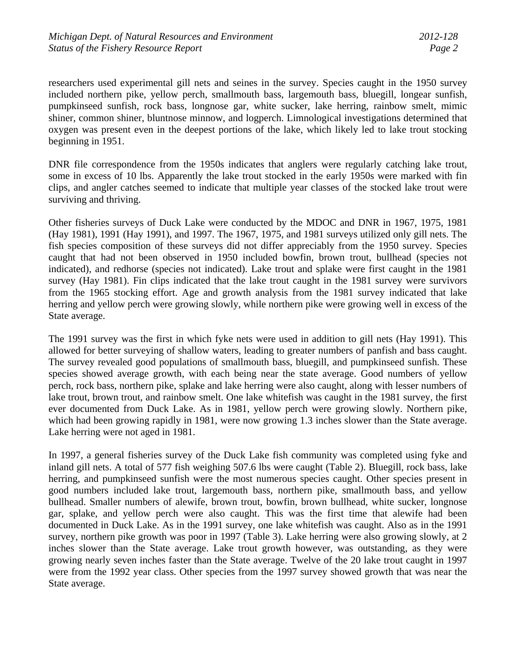researchers used experimental gill nets and seines in the survey. Species caught in the 1950 survey included northern pike, yellow perch, smallmouth bass, largemouth bass, bluegill, longear sunfish, pumpkinseed sunfish, rock bass, longnose gar, white sucker, lake herring, rainbow smelt, mimic shiner, common shiner, bluntnose minnow, and logperch. Limnological investigations determined that oxygen was present even in the deepest portions of the lake, which likely led to lake trout stocking beginning in 1951.

DNR file correspondence from the 1950s indicates that anglers were regularly catching lake trout, some in excess of 10 lbs. Apparently the lake trout stocked in the early 1950s were marked with fin clips, and angler catches seemed to indicate that multiple year classes of the stocked lake trout were surviving and thriving.

Other fisheries surveys of Duck Lake were conducted by the MDOC and DNR in 1967, 1975, 1981 (Hay 1981), 1991 (Hay 1991), and 1997. The 1967, 1975, and 1981 surveys utilized only gill nets. The fish species composition of these surveys did not differ appreciably from the 1950 survey. Species caught that had not been observed in 1950 included bowfin, brown trout, bullhead (species not indicated), and redhorse (species not indicated). Lake trout and splake were first caught in the 1981 survey (Hay 1981). Fin clips indicated that the lake trout caught in the 1981 survey were survivors from the 1965 stocking effort. Age and growth analysis from the 1981 survey indicated that lake herring and yellow perch were growing slowly, while northern pike were growing well in excess of the State average.

The 1991 survey was the first in which fyke nets were used in addition to gill nets (Hay 1991). This allowed for better surveying of shallow waters, leading to greater numbers of panfish and bass caught. The survey revealed good populations of smallmouth bass, bluegill, and pumpkinseed sunfish. These species showed average growth, with each being near the state average. Good numbers of yellow perch, rock bass, northern pike, splake and lake herring were also caught, along with lesser numbers of lake trout, brown trout, and rainbow smelt. One lake whitefish was caught in the 1981 survey, the first ever documented from Duck Lake. As in 1981, yellow perch were growing slowly. Northern pike, which had been growing rapidly in 1981, were now growing 1.3 inches slower than the State average. Lake herring were not aged in 1981.

In 1997, a general fisheries survey of the Duck Lake fish community was completed using fyke and inland gill nets. A total of 577 fish weighing 507.6 lbs were caught (Table 2). Bluegill, rock bass, lake herring, and pumpkinseed sunfish were the most numerous species caught. Other species present in good numbers included lake trout, largemouth bass, northern pike, smallmouth bass, and yellow bullhead. Smaller numbers of alewife, brown trout, bowfin, brown bullhead, white sucker, longnose gar, splake, and yellow perch were also caught. This was the first time that alewife had been documented in Duck Lake. As in the 1991 survey, one lake whitefish was caught. Also as in the 1991 survey, northern pike growth was poor in 1997 (Table 3). Lake herring were also growing slowly, at 2 inches slower than the State average. Lake trout growth however, was outstanding, as they were growing nearly seven inches faster than the State average. Twelve of the 20 lake trout caught in 1997 were from the 1992 year class. Other species from the 1997 survey showed growth that was near the State average.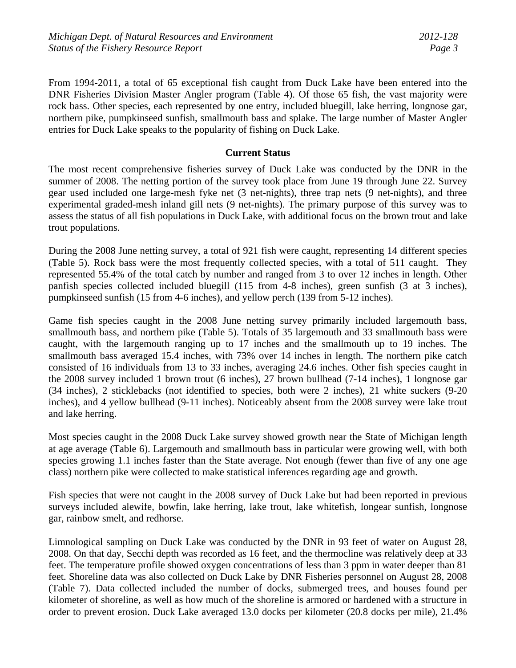From 1994-2011, a total of 65 exceptional fish caught from Duck Lake have been entered into the DNR Fisheries Division Master Angler program (Table 4). Of those 65 fish, the vast majority were rock bass. Other species, each represented by one entry, included bluegill, lake herring, longnose gar, northern pike, pumpkinseed sunfish, smallmouth bass and splake. The large number of Master Angler entries for Duck Lake speaks to the popularity of fishing on Duck Lake.

### **Current Status**

The most recent comprehensive fisheries survey of Duck Lake was conducted by the DNR in the summer of 2008. The netting portion of the survey took place from June 19 through June 22. Survey gear used included one large-mesh fyke net (3 net-nights), three trap nets (9 net-nights), and three experimental graded-mesh inland gill nets (9 net-nights). The primary purpose of this survey was to assess the status of all fish populations in Duck Lake, with additional focus on the brown trout and lake trout populations.

During the 2008 June netting survey, a total of 921 fish were caught, representing 14 different species (Table 5). Rock bass were the most frequently collected species, with a total of 511 caught. They represented 55.4% of the total catch by number and ranged from 3 to over 12 inches in length. Other panfish species collected included bluegill (115 from 4-8 inches), green sunfish (3 at 3 inches), pumpkinseed sunfish (15 from 4-6 inches), and yellow perch (139 from 5-12 inches).

Game fish species caught in the 2008 June netting survey primarily included largemouth bass, smallmouth bass, and northern pike (Table 5). Totals of 35 largemouth and 33 smallmouth bass were caught, with the largemouth ranging up to 17 inches and the smallmouth up to 19 inches. The smallmouth bass averaged 15.4 inches, with 73% over 14 inches in length. The northern pike catch consisted of 16 individuals from 13 to 33 inches, averaging 24.6 inches. Other fish species caught in the 2008 survey included 1 brown trout (6 inches), 27 brown bullhead (7-14 inches), 1 longnose gar (34 inches), 2 sticklebacks (not identified to species, both were 2 inches), 21 white suckers (9-20 inches), and 4 yellow bullhead (9-11 inches). Noticeably absent from the 2008 survey were lake trout and lake herring.

Most species caught in the 2008 Duck Lake survey showed growth near the State of Michigan length at age average (Table 6). Largemouth and smallmouth bass in particular were growing well, with both species growing 1.1 inches faster than the State average. Not enough (fewer than five of any one age class) northern pike were collected to make statistical inferences regarding age and growth.

Fish species that were not caught in the 2008 survey of Duck Lake but had been reported in previous surveys included alewife, bowfin, lake herring, lake trout, lake whitefish, longear sunfish, longnose gar, rainbow smelt, and redhorse.

Limnological sampling on Duck Lake was conducted by the DNR in 93 feet of water on August 28, 2008. On that day, Secchi depth was recorded as 16 feet, and the thermocline was relatively deep at 33 feet. The temperature profile showed oxygen concentrations of less than 3 ppm in water deeper than 81 feet. Shoreline data was also collected on Duck Lake by DNR Fisheries personnel on August 28, 2008 (Table 7). Data collected included the number of docks, submerged trees, and houses found per kilometer of shoreline, as well as how much of the shoreline is armored or hardened with a structure in order to prevent erosion. Duck Lake averaged 13.0 docks per kilometer (20.8 docks per mile), 21.4%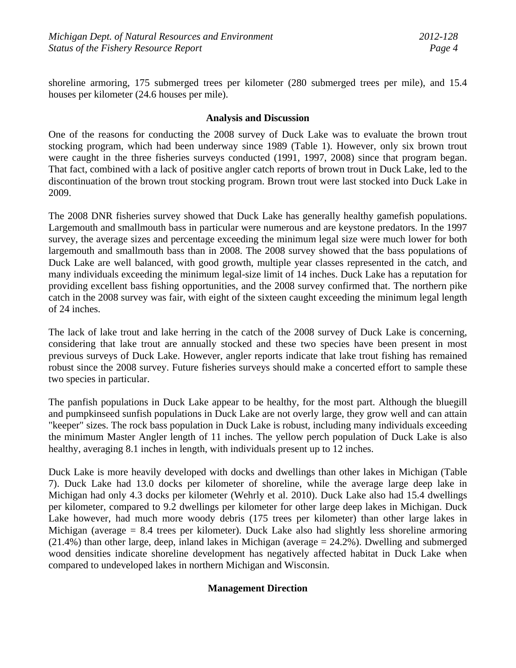shoreline armoring, 175 submerged trees per kilometer (280 submerged trees per mile), and 15.4 houses per kilometer (24.6 houses per mile).

## **Analysis and Discussion**

One of the reasons for conducting the 2008 survey of Duck Lake was to evaluate the brown trout stocking program, which had been underway since 1989 (Table 1). However, only six brown trout were caught in the three fisheries surveys conducted (1991, 1997, 2008) since that program began. That fact, combined with a lack of positive angler catch reports of brown trout in Duck Lake, led to the discontinuation of the brown trout stocking program. Brown trout were last stocked into Duck Lake in 2009.

The 2008 DNR fisheries survey showed that Duck Lake has generally healthy gamefish populations. Largemouth and smallmouth bass in particular were numerous and are keystone predators. In the 1997 survey, the average sizes and percentage exceeding the minimum legal size were much lower for both largemouth and smallmouth bass than in 2008. The 2008 survey showed that the bass populations of Duck Lake are well balanced, with good growth, multiple year classes represented in the catch, and many individuals exceeding the minimum legal-size limit of 14 inches. Duck Lake has a reputation for providing excellent bass fishing opportunities, and the 2008 survey confirmed that. The northern pike catch in the 2008 survey was fair, with eight of the sixteen caught exceeding the minimum legal length of 24 inches.

The lack of lake trout and lake herring in the catch of the 2008 survey of Duck Lake is concerning, considering that lake trout are annually stocked and these two species have been present in most previous surveys of Duck Lake. However, angler reports indicate that lake trout fishing has remained robust since the 2008 survey. Future fisheries surveys should make a concerted effort to sample these two species in particular.

The panfish populations in Duck Lake appear to be healthy, for the most part. Although the bluegill and pumpkinseed sunfish populations in Duck Lake are not overly large, they grow well and can attain "keeper" sizes. The rock bass population in Duck Lake is robust, including many individuals exceeding the minimum Master Angler length of 11 inches. The yellow perch population of Duck Lake is also healthy, averaging 8.1 inches in length, with individuals present up to 12 inches.

Duck Lake is more heavily developed with docks and dwellings than other lakes in Michigan (Table 7). Duck Lake had 13.0 docks per kilometer of shoreline, while the average large deep lake in Michigan had only 4.3 docks per kilometer (Wehrly et al. 2010). Duck Lake also had 15.4 dwellings per kilometer, compared to 9.2 dwellings per kilometer for other large deep lakes in Michigan. Duck Lake however, had much more woody debris (175 trees per kilometer) than other large lakes in Michigan (average = 8.4 trees per kilometer). Duck Lake also had slightly less shoreline armoring (21.4%) than other large, deep, inland lakes in Michigan (average = 24.2%). Dwelling and submerged wood densities indicate shoreline development has negatively affected habitat in Duck Lake when compared to undeveloped lakes in northern Michigan and Wisconsin.

# **Management Direction**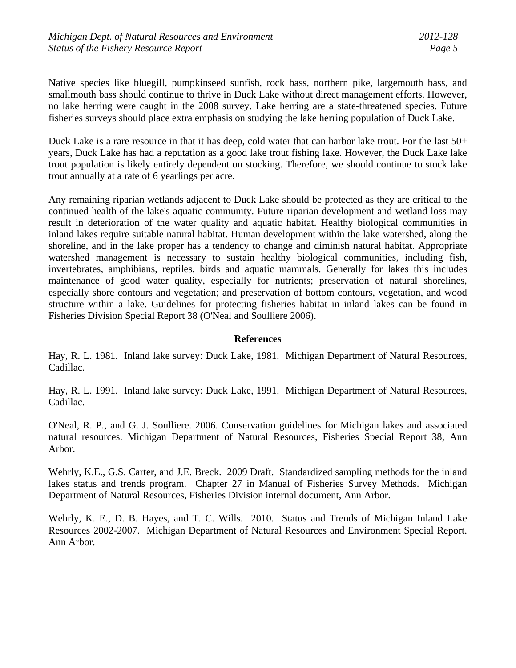Native species like bluegill, pumpkinseed sunfish, rock bass, northern pike, largemouth bass, and smallmouth bass should continue to thrive in Duck Lake without direct management efforts. However, no lake herring were caught in the 2008 survey. Lake herring are a state-threatened species. Future fisheries surveys should place extra emphasis on studying the lake herring population of Duck Lake.

Duck Lake is a rare resource in that it has deep, cold water that can harbor lake trout. For the last  $50+$ years, Duck Lake has had a reputation as a good lake trout fishing lake. However, the Duck Lake lake trout population is likely entirely dependent on stocking. Therefore, we should continue to stock lake trout annually at a rate of 6 yearlings per acre.

Any remaining riparian wetlands adjacent to Duck Lake should be protected as they are critical to the continued health of the lake's aquatic community. Future riparian development and wetland loss may result in deterioration of the water quality and aquatic habitat. Healthy biological communities in inland lakes require suitable natural habitat. Human development within the lake watershed, along the shoreline, and in the lake proper has a tendency to change and diminish natural habitat. Appropriate watershed management is necessary to sustain healthy biological communities, including fish, invertebrates, amphibians, reptiles, birds and aquatic mammals. Generally for lakes this includes maintenance of good water quality, especially for nutrients; preservation of natural shorelines, especially shore contours and vegetation; and preservation of bottom contours, vegetation, and wood structure within a lake. Guidelines for protecting fisheries habitat in inland lakes can be found in Fisheries Division Special Report 38 (O'Neal and Soulliere 2006).

#### **References**

Hay, R. L. 1981. Inland lake survey: Duck Lake, 1981. Michigan Department of Natural Resources, Cadillac.

Hay, R. L. 1991. Inland lake survey: Duck Lake, 1991. Michigan Department of Natural Resources, Cadillac.

O'Neal, R. P., and G. J. Soulliere. 2006. Conservation guidelines for Michigan lakes and associated natural resources. Michigan Department of Natural Resources, Fisheries Special Report 38, Ann Arbor.

Wehrly, K.E., G.S. Carter, and J.E. Breck. 2009 Draft. Standardized sampling methods for the inland lakes status and trends program. Chapter 27 in Manual of Fisheries Survey Methods. Michigan Department of Natural Resources, Fisheries Division internal document, Ann Arbor.

Wehrly, K. E., D. B. Hayes, and T. C. Wills. 2010. Status and Trends of Michigan Inland Lake Resources 2002-2007. Michigan Department of Natural Resources and Environment Special Report. Ann Arbor.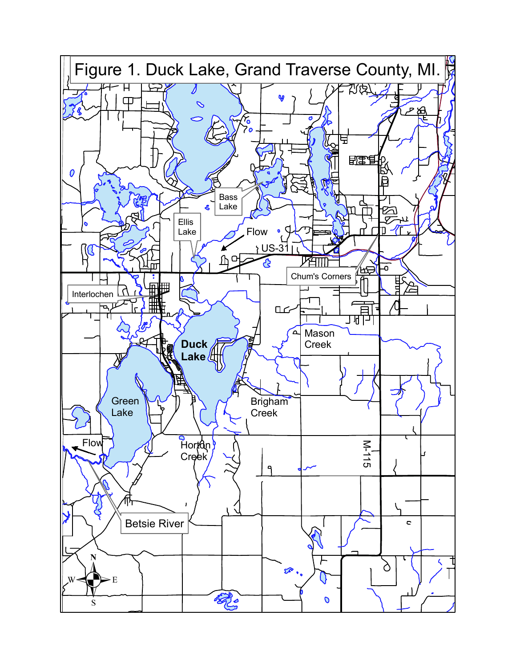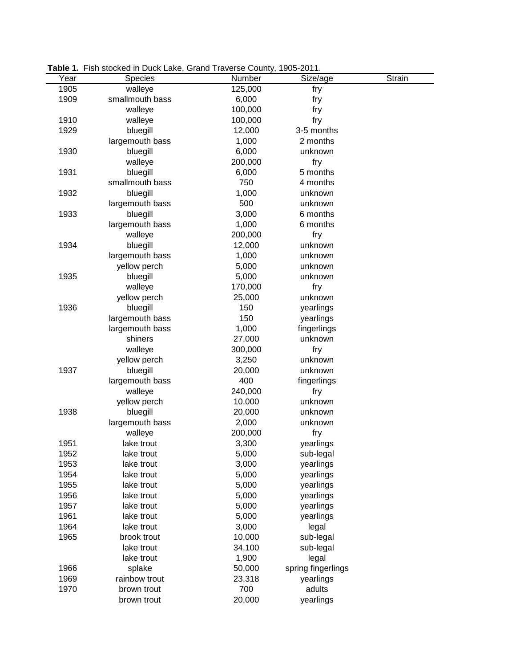|      | <b>Table 1.</b> Fish stocked in Duck Lake, Grand Traverse County, 1905-2011. |         |                    |               |
|------|------------------------------------------------------------------------------|---------|--------------------|---------------|
| Year | <b>Species</b>                                                               | Number  | Size/age           | <b>Strain</b> |
| 1905 | walleye                                                                      | 125,000 | fry                |               |
| 1909 | smallmouth bass                                                              | 6,000   | fry                |               |
|      | walleye                                                                      | 100,000 | fry                |               |
| 1910 | walleye                                                                      | 100,000 | fry                |               |
| 1929 | bluegill                                                                     | 12,000  | 3-5 months         |               |
|      | largemouth bass                                                              | 1,000   | 2 months           |               |
| 1930 | bluegill                                                                     | 6,000   | unknown            |               |
|      | walleye                                                                      | 200,000 | fry                |               |
| 1931 | bluegill                                                                     | 6,000   | 5 months           |               |
|      | smallmouth bass                                                              | 750     | 4 months           |               |
| 1932 | bluegill                                                                     | 1,000   | unknown            |               |
|      | largemouth bass                                                              | 500     | unknown            |               |
| 1933 | bluegill                                                                     | 3,000   | 6 months           |               |
|      | largemouth bass                                                              | 1,000   | 6 months           |               |
|      | walleye                                                                      | 200,000 | fry                |               |
| 1934 | bluegill                                                                     | 12,000  | unknown            |               |
|      | largemouth bass                                                              | 1,000   | unknown            |               |
|      | yellow perch                                                                 | 5,000   | unknown            |               |
| 1935 | bluegill                                                                     | 5,000   | unknown            |               |
|      | walleye                                                                      | 170,000 | fry                |               |
|      | yellow perch                                                                 | 25,000  | unknown            |               |
| 1936 | bluegill                                                                     | 150     | yearlings          |               |
|      | largemouth bass                                                              | 150     | yearlings          |               |
|      | largemouth bass                                                              | 1,000   | fingerlings        |               |
|      | shiners                                                                      | 27,000  | unknown            |               |
|      | walleye                                                                      | 300,000 | fry                |               |
|      | yellow perch                                                                 | 3,250   | unknown            |               |
| 1937 | bluegill                                                                     | 20,000  | unknown            |               |
|      | largemouth bass                                                              | 400     | fingerlings        |               |
|      | walleye                                                                      | 240,000 | fry                |               |
|      | yellow perch                                                                 | 10,000  | unknown            |               |
| 1938 | bluegill                                                                     | 20,000  | unknown            |               |
|      | largemouth bass                                                              | 2,000   | unknown            |               |
|      | walleye                                                                      | 200,000 | fry                |               |
| 1951 | lake trout                                                                   | 3,300   | yearlings          |               |
| 1952 | lake trout                                                                   | 5,000   | sub-legal          |               |
| 1953 | lake trout                                                                   | 3,000   | yearlings          |               |
| 1954 | lake trout                                                                   | 5,000   | yearlings          |               |
| 1955 | lake trout                                                                   | 5,000   | yearlings          |               |
| 1956 | lake trout                                                                   | 5,000   | yearlings          |               |
| 1957 | lake trout                                                                   | 5,000   | yearlings          |               |
| 1961 | lake trout                                                                   | 5,000   | yearlings          |               |
| 1964 | lake trout                                                                   | 3,000   | legal              |               |
| 1965 | brook trout                                                                  | 10,000  | sub-legal          |               |
|      | lake trout                                                                   | 34,100  | sub-legal          |               |
|      | lake trout                                                                   | 1,900   | legal              |               |
| 1966 | splake                                                                       | 50,000  | spring fingerlings |               |
| 1969 | rainbow trout                                                                | 23,318  | yearlings          |               |
| 1970 | brown trout                                                                  | 700     | adults             |               |
|      | brown trout                                                                  | 20,000  | yearlings          |               |

**Table 1.** Fish stocked in Duck Lake, Grand Traverse County, 1905-2011.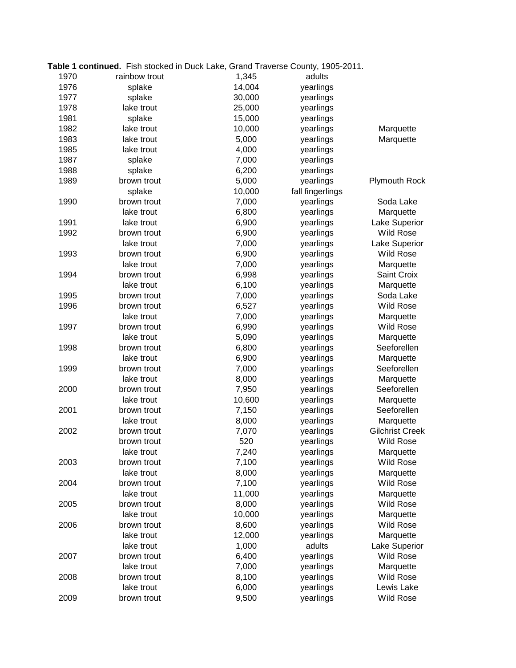|      | Table 1 continued. Fish stocked in Duck Lake, Grand Traverse County, 1905-2011. |        |                  |                        |
|------|---------------------------------------------------------------------------------|--------|------------------|------------------------|
| 1970 | rainbow trout                                                                   | 1,345  | adults           |                        |
| 1976 | splake                                                                          | 14,004 | yearlings        |                        |
| 1977 | splake                                                                          | 30,000 | yearlings        |                        |
| 1978 | lake trout                                                                      | 25,000 | yearlings        |                        |
| 1981 | splake                                                                          | 15,000 | yearlings        |                        |
| 1982 | lake trout                                                                      | 10,000 | yearlings        | Marquette              |
| 1983 | lake trout                                                                      | 5,000  | yearlings        | Marquette              |
| 1985 | lake trout                                                                      | 4,000  | yearlings        |                        |
| 1987 | splake                                                                          | 7,000  | yearlings        |                        |
| 1988 | splake                                                                          | 6,200  | yearlings        |                        |
| 1989 | brown trout                                                                     | 5,000  | yearlings        | <b>Plymouth Rock</b>   |
|      | splake                                                                          | 10,000 | fall fingerlings |                        |
| 1990 | brown trout                                                                     | 7,000  | yearlings        | Soda Lake              |
|      | lake trout                                                                      | 6,800  | yearlings        | Marquette              |
| 1991 | lake trout                                                                      | 6,900  | yearlings        | Lake Superior          |
| 1992 | brown trout                                                                     | 6,900  | yearlings        | <b>Wild Rose</b>       |
|      | lake trout                                                                      | 7,000  | yearlings        | Lake Superior          |
| 1993 | brown trout                                                                     | 6,900  | yearlings        | <b>Wild Rose</b>       |
|      | lake trout                                                                      | 7,000  | yearlings        | Marquette              |
| 1994 | brown trout                                                                     | 6,998  | yearlings        | Saint Croix            |
|      | lake trout                                                                      | 6,100  | yearlings        | Marquette              |
| 1995 | brown trout                                                                     | 7,000  | yearlings        | Soda Lake              |
| 1996 | brown trout                                                                     | 6,527  | yearlings        | <b>Wild Rose</b>       |
|      | lake trout                                                                      | 7,000  | yearlings        | Marquette              |
| 1997 | brown trout                                                                     | 6,990  | yearlings        | Wild Rose              |
|      | lake trout                                                                      | 5,090  | yearlings        | Marquette              |
| 1998 | brown trout                                                                     | 6,800  | yearlings        | Seeforellen            |
|      | lake trout                                                                      | 6,900  | yearlings        | Marquette              |
| 1999 | brown trout                                                                     | 7,000  | yearlings        | Seeforellen            |
|      | lake trout                                                                      | 8,000  | yearlings        | Marquette              |
| 2000 | brown trout                                                                     | 7,950  | yearlings        | Seeforellen            |
|      | lake trout                                                                      | 10,600 | yearlings        | Marquette              |
| 2001 | brown trout                                                                     | 7,150  | yearlings        | Seeforellen            |
|      | lake trout                                                                      | 8,000  | yearlings        | Marquette              |
| 2002 | brown trout                                                                     | 7,070  | yearlings        | <b>Gilchrist Creek</b> |
|      | brown trout                                                                     | 520    | yearlings        | <b>Wild Rose</b>       |
|      | lake trout                                                                      | 7,240  | yearlings        | Marquette              |
| 2003 | brown trout                                                                     | 7,100  | yearlings        | <b>Wild Rose</b>       |
|      | lake trout                                                                      | 8,000  | yearlings        | Marquette              |
| 2004 | brown trout                                                                     | 7,100  | yearlings        | <b>Wild Rose</b>       |
|      | lake trout                                                                      | 11,000 | yearlings        | Marquette              |
| 2005 | brown trout                                                                     | 8,000  | yearlings        | <b>Wild Rose</b>       |
|      | lake trout                                                                      | 10,000 | yearlings        | Marquette              |
| 2006 | brown trout                                                                     | 8,600  | yearlings        | <b>Wild Rose</b>       |
|      | lake trout                                                                      | 12,000 | yearlings        | Marquette              |
|      | lake trout                                                                      | 1,000  | adults           | Lake Superior          |
| 2007 | brown trout                                                                     | 6,400  | yearlings        | <b>Wild Rose</b>       |
|      | lake trout                                                                      | 7,000  | yearlings        | Marquette              |
| 2008 | brown trout                                                                     | 8,100  | yearlings        | Wild Rose              |
|      | lake trout                                                                      | 6,000  | yearlings        | Lewis Lake             |
| 2009 | brown trout                                                                     | 9,500  | yearlings        | <b>Wild Rose</b>       |
|      |                                                                                 |        |                  |                        |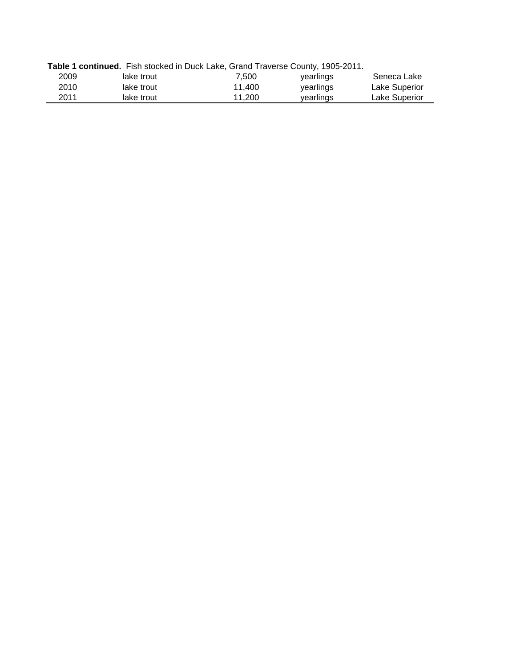|      |            | Table 1 continued. Fish stocked in Duck Lake, Grand Traverse County, 1905-2011. |           |               |
|------|------------|---------------------------------------------------------------------------------|-----------|---------------|
| 2009 | lake trout | 7.500                                                                           | vearlings | Seneca Lake   |
| 2010 | lake trout | 11.400                                                                          | yearlings | Lake Superior |
| 2011 | lake trout | 11.200                                                                          | vearlings | Lake Superior |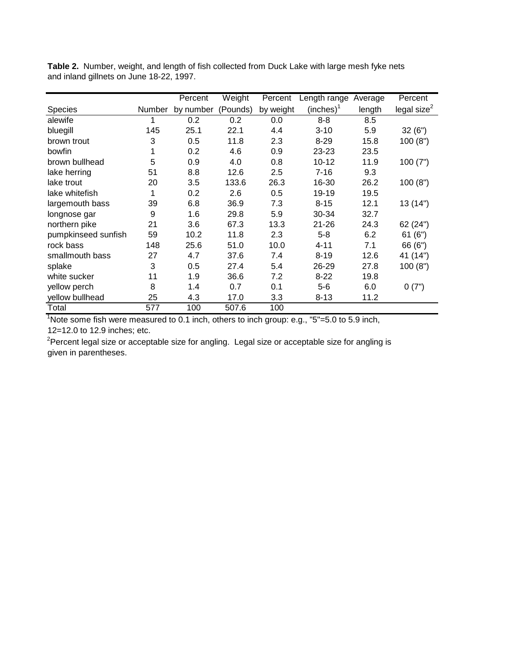|                     |        | Percent   | Weight   | Percent   | Length range | Average | Percent                 |
|---------------------|--------|-----------|----------|-----------|--------------|---------|-------------------------|
| <b>Species</b>      | Number | by number | (Pounds) | by weight | (inches)     | length  | legal size <sup>2</sup> |
| alewife             |        | 0.2       | 0.2      | 0.0       | $8 - 8$      | 8.5     |                         |
| bluegill            | 145    | 25.1      | 22.1     | 4.4       | $3 - 10$     | 5.9     | 32(6")                  |
| brown trout         | 3      | 0.5       | 11.8     | 2.3       | $8 - 29$     | 15.8    | 100(8")                 |
| bowfin              | 1      | 0.2       | 4.6      | 0.9       | 23-23        | 23.5    |                         |
| brown bullhead      | 5      | 0.9       | 4.0      | 0.8       | $10 - 12$    | 11.9    | 100(7")                 |
| lake herring        | 51     | 8.8       | 12.6     | 2.5       | $7 - 16$     | 9.3     |                         |
| lake trout          | 20     | 3.5       | 133.6    | 26.3      | 16-30        | 26.2    | 100(8")                 |
| lake whitefish      | 1      | 0.2       | 2.6      | 0.5       | 19-19        | 19.5    |                         |
| largemouth bass     | 39     | 6.8       | 36.9     | 7.3       | $8 - 15$     | 12.1    | 13 (14")                |
| longnose gar        | 9      | 1.6       | 29.8     | 5.9       | 30-34        | 32.7    |                         |
| northern pike       | 21     | 3.6       | 67.3     | 13.3      | $21 - 26$    | 24.3    | 62 (24")                |
| pumpkinseed sunfish | 59     | 10.2      | 11.8     | 2.3       | $5 - 8$      | 6.2     | 61(6")                  |
| rock bass           | 148    | 25.6      | 51.0     | 10.0      | 4-11         | 7.1     | 66 (6")                 |
| smallmouth bass     | 27     | 4.7       | 37.6     | 7.4       | $8 - 19$     | 12.6    | 41 (14")                |
| splake              | 3      | 0.5       | 27.4     | 5.4       | 26-29        | 27.8    | 100(8")                 |
| white sucker        | 11     | 1.9       | 36.6     | 7.2       | $8 - 22$     | 19.8    |                         |
| yellow perch        | 8      | 1.4       | 0.7      | 0.1       | $5 - 6$      | 6.0     | 0(7")                   |
| yellow bullhead     | 25     | 4.3       | 17.0     | 3.3       | $8 - 13$     | 11.2    |                         |
| Total               | 577    | 100       | 507.6    | 100       |              |         |                         |

**Table 2.** Number, weight, and length of fish collected from Duck Lake with large mesh fyke nets and inland gillnets on June 18-22, 1997.

 $1$ Note some fish were measured to 0.1 inch, others to inch group: e.g.,  $5 - 5.0$  to 5.9 inch, 12=12.0 to 12.9 inches; etc.

<sup>2</sup>Percent legal size or acceptable size for angling. Legal size or acceptable size for angling is given in parentheses.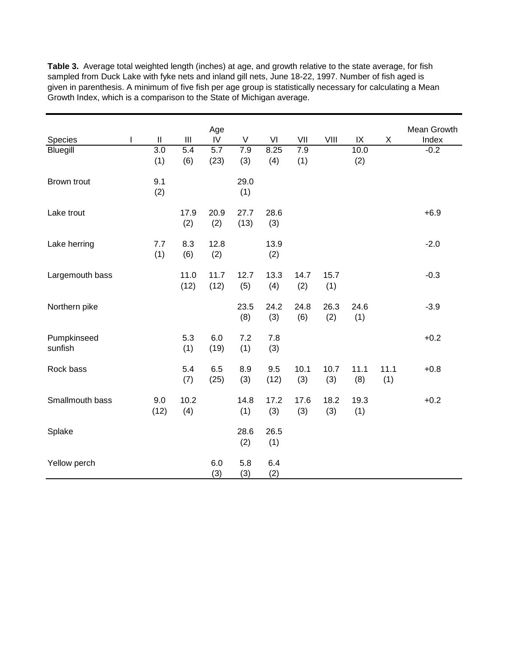|                 |   |              |                  | Age              |      |      |      |      |          |      | Mean Growth |
|-----------------|---|--------------|------------------|------------------|------|------|------|------|----------|------|-------------|
| Species         | I | $\mathbf{I}$ | III              | ${\sf IV}$       | V    | VI   | VII  | VIII | $\sf IX$ | X    | Index       |
| Bluegill        |   | 3.0          | $\overline{5.4}$ | $\overline{5.7}$ | 7.9  | 8.25 | 7.9  |      | 10.0     |      | $-0.2$      |
|                 |   | (1)          | (6)              | (23)             | (3)  | (4)  | (1)  |      | (2)      |      |             |
|                 |   |              |                  |                  |      |      |      |      |          |      |             |
| Brown trout     |   | 9.1          |                  |                  | 29.0 |      |      |      |          |      |             |
|                 |   | (2)          |                  |                  | (1)  |      |      |      |          |      |             |
|                 |   |              |                  |                  |      |      |      |      |          |      |             |
| Lake trout      |   |              | 17.9             | 20.9             | 27.7 | 28.6 |      |      |          |      | $+6.9$      |
|                 |   |              | (2)              | (2)              | (13) | (3)  |      |      |          |      |             |
|                 |   |              |                  |                  |      |      |      |      |          |      |             |
| Lake herring    |   | 7.7          | 8.3              | 12.8             |      | 13.9 |      |      |          |      | $-2.0$      |
|                 |   | (1)          | (6)              | (2)              |      | (2)  |      |      |          |      |             |
|                 |   |              |                  |                  |      |      |      |      |          |      |             |
| Largemouth bass |   |              | 11.0             | 11.7             | 12.7 | 13.3 | 14.7 | 15.7 |          |      | $-0.3$      |
|                 |   |              | (12)             | (12)             | (5)  | (4)  | (2)  | (1)  |          |      |             |
|                 |   |              |                  |                  |      |      |      |      |          |      |             |
| Northern pike   |   |              |                  |                  | 23.5 | 24.2 | 24.8 | 26.3 | 24.6     |      | $-3.9$      |
|                 |   |              |                  |                  | (8)  | (3)  | (6)  | (2)  | (1)      |      |             |
|                 |   |              |                  |                  |      |      |      |      |          |      |             |
| Pumpkinseed     |   |              | 5.3              | 6.0              | 7.2  | 7.8  |      |      |          |      | $+0.2$      |
| sunfish         |   |              | (1)              | (19)             | (1)  | (3)  |      |      |          |      |             |
| Rock bass       |   |              | 5.4              | 6.5              | 8.9  | 9.5  | 10.1 | 10.7 | 11.1     | 11.1 | $+0.8$      |
|                 |   |              | (7)              | (25)             | (3)  | (12) | (3)  | (3)  | (8)      | (1)  |             |
|                 |   |              |                  |                  |      |      |      |      |          |      |             |
| Smallmouth bass |   | 9.0          | 10.2             |                  | 14.8 | 17.2 | 17.6 | 18.2 | 19.3     |      | $+0.2$      |
|                 |   | (12)         | (4)              |                  | (1)  | (3)  | (3)  | (3)  | (1)      |      |             |
|                 |   |              |                  |                  |      |      |      |      |          |      |             |
| Splake          |   |              |                  |                  | 28.6 | 26.5 |      |      |          |      |             |
|                 |   |              |                  |                  | (2)  | (1)  |      |      |          |      |             |
|                 |   |              |                  |                  |      |      |      |      |          |      |             |
| Yellow perch    |   |              |                  | 6.0              | 5.8  | 6.4  |      |      |          |      |             |
|                 |   |              |                  | (3)              | (3)  | (2)  |      |      |          |      |             |

**Table 3.** Average total weighted length (inches) at age, and growth relative to the state average, for fish sampled from Duck Lake with fyke nets and inland gill nets, June 18-22, 1997. Number of fish aged is given in parenthesis. A minimum of five fish per age group is statistically necessary for calculating a Mean Growth Index, which is a comparison to the State of Michigan average.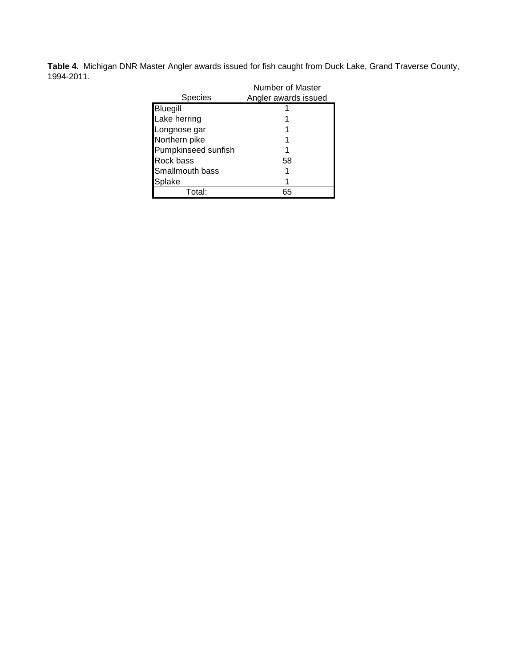**Table 4.** Michigan DNR Master Angler awards issued for fish caught from Duck Lake, Grand Traverse County, 1994-2011.

|                     | Number of Master     |
|---------------------|----------------------|
| Species             | Angler awards issued |
| <b>Bluegill</b>     |                      |
| Lake herring        |                      |
| Longnose gar        |                      |
| Northern pike       |                      |
| Pumpkinseed sunfish |                      |
| Rock bass           | 58                   |
| Smallmouth bass     |                      |
| Splake              |                      |
| Total:              | 65                   |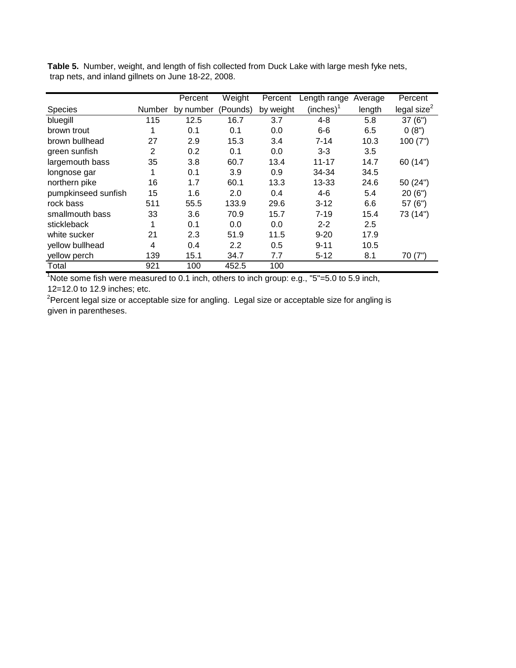|                     |        | Percent   | Weight   | Percent   | Length range | Average | Percent        |
|---------------------|--------|-----------|----------|-----------|--------------|---------|----------------|
| Species             | Number | by number | (Pounds) | by weight | $(inches)^T$ | length  | legal size $2$ |
| bluegill            | 115    | 12.5      | 16.7     | 3.7       | $4 - 8$      | 5.8     | 37(6")         |
| brown trout         |        | 0.1       | 0.1      | 0.0       | $6-6$        | 6.5     | 0(8")          |
| brown bullhead      | 27     | 2.9       | 15.3     | 3.4       | $7 - 14$     | 10.3    | 100(7")        |
| green sunfish       | 2      | 0.2       | 0.1      | 0.0       | $3 - 3$      | 3.5     |                |
| largemouth bass     | 35     | 3.8       | 60.7     | 13.4      | $11 - 17$    | 14.7    | 60 (14")       |
| longnose gar        | 1      | 0.1       | 3.9      | 0.9       | 34-34        | 34.5    |                |
| northern pike       | 16     | 1.7       | 60.1     | 13.3      | 13-33        | 24.6    | 50 (24")       |
| pumpkinseed sunfish | 15     | 1.6       | 2.0      | 0.4       | $4-6$        | 5.4     | 20(6")         |
| rock bass           | 511    | 55.5      | 133.9    | 29.6      | $3 - 12$     | 6.6     | 57(6")         |
| smallmouth bass     | 33     | 3.6       | 70.9     | 15.7      | $7 - 19$     | 15.4    | 73 (14")       |
| stickleback         | 1      | 0.1       | 0.0      | 0.0       | $2 - 2$      | 2.5     |                |
| white sucker        | 21     | 2.3       | 51.9     | 11.5      | $9 - 20$     | 17.9    |                |
| yellow bullhead     | 4      | 0.4       | 2.2      | 0.5       | $9 - 11$     | 10.5    |                |
| yellow perch        | 139    | 15.1      | 34.7     | 7.7       | $5 - 12$     | 8.1     | 70(7")         |
| Total               | 921    | 100       | 452.5    | 100       |              |         |                |

**Table 5.** Number, weight, and length of fish collected from Duck Lake with large mesh fyke nets, trap nets, and inland gillnets on June 18-22, 2008.

 $1$ Note some fish were measured to 0.1 inch, others to inch group: e.g., "5"=5.0 to 5.9 inch, 12=12.0 to 12.9 inches; etc.

<sup>2</sup>Percent legal size or acceptable size for angling. Legal size or acceptable size for angling is given in parentheses.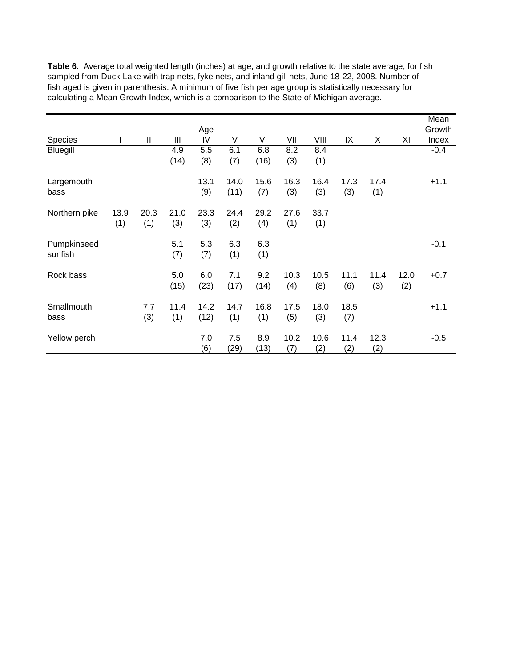**Table 6.** Average total weighted length (inches) at age, and growth relative to the state average, for fish sampled from Duck Lake with trap nets, fyke nets, and inland gill nets, June 18-22, 2008. Number of fish aged is given in parenthesis. A minimum of five fish per age group is statistically necessary for calculating a Mean Growth Index, which is a comparison to the State of Michigan average.

|               |      |      |      |      |      |      |      |      |      |      |      | Mean   |
|---------------|------|------|------|------|------|------|------|------|------|------|------|--------|
|               |      |      |      | Age  |      |      |      |      |      |      |      | Growth |
| Species       | L    | Ш    | Ш    | IV   | V    | VI   | VII  | VIII | IX   | X    | XI   | Index  |
| Bluegill      |      |      | 4.9  | 5.5  | 6.1  | 6.8  | 8.2  | 8.4  |      |      |      | $-0.4$ |
|               |      |      | (14) | (8)  | (7)  | (16) | (3)  | (1)  |      |      |      |        |
| Largemouth    |      |      |      | 13.1 | 14.0 | 15.6 | 16.3 | 16.4 | 17.3 | 17.4 |      | $+1.1$ |
| bass          |      |      |      | (9)  | (11) | (7)  | (3)  | (3)  | (3)  | (1)  |      |        |
| Northern pike | 13.9 | 20.3 | 21.0 | 23.3 | 24.4 | 29.2 | 27.6 | 33.7 |      |      |      |        |
|               | (1)  | (1)  | (3)  | (3)  | (2)  | (4)  | (1)  | (1)  |      |      |      |        |
| Pumpkinseed   |      |      | 5.1  | 5.3  | 6.3  | 6.3  |      |      |      |      |      | $-0.1$ |
| sunfish       |      |      | (7)  | (7)  | (1)  | (1)  |      |      |      |      |      |        |
| Rock bass     |      |      | 5.0  | 6.0  | 7.1  | 9.2  | 10.3 | 10.5 | 11.1 | 11.4 | 12.0 | $+0.7$ |
|               |      |      | (15) | (23) | (17) | (14) | (4)  | (8)  | (6)  | (3)  | (2)  |        |
| Smallmouth    |      | 7.7  | 11.4 | 14.2 | 14.7 | 16.8 | 17.5 | 18.0 | 18.5 |      |      | $+1.1$ |
| bass          |      | (3)  | (1)  | (12) | (1)  | (1)  | (5)  | (3)  | (7)  |      |      |        |
| Yellow perch  |      |      |      | 7.0  | 7.5  | 8.9  | 10.2 | 10.6 | 11.4 | 12.3 |      | $-0.5$ |
|               |      |      |      | (6)  | (29) | (13) | (7)  | (2)  | (2)  | (2)  |      |        |